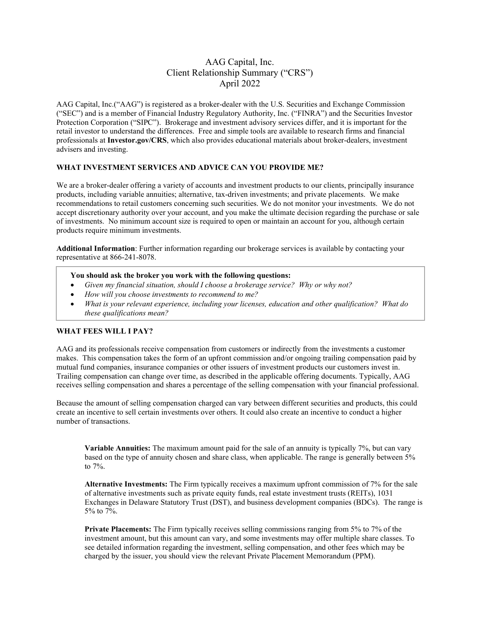# AAG Capital, Inc. Client Relationship Summary ("CRS") April 2022

AAG Capital, Inc.("AAG") is registered as a broker-dealer with the U.S. Securities and Exchange Commission ("SEC") and is a member of Financial Industry Regulatory Authority, Inc. ("FINRA") and the Securities Investor Protection Corporation ("SIPC"). Brokerage and investment advisory services differ, and it is important for the retail investor to understand the differences. Free and simple tools are available to research firms and financial professionals at **Investor.gov/CRS**, which also provides educational materials about broker-dealers, investment advisers and investing.

## **WHAT INVESTMENT SERVICES AND ADVICE CAN YOU PROVIDE ME?**

We are a broker-dealer offering a variety of accounts and investment products to our clients, principally insurance products, including variable annuities; alternative, tax-driven investments; and private placements. We make recommendations to retail customers concerning such securities. We do not monitor your investments. We do not accept discretionary authority over your account, and you make the ultimate decision regarding the purchase or sale of investments. No minimum account size is required to open or maintain an account for you, although certain products require minimum investments.

**Additional Information**: Further information regarding our brokerage services is available by contacting your representative at 866-241-8078.

## **You should ask the broker you work with the following questions:**

- *Given my financial situation, should I choose a brokerage service? Why or why not?*
- *How will you choose investments to recommend to me?*
- *What is your relevant experience, including your licenses, education and other qualification? What do these qualifications mean?*

## **WHAT FEES WILL I PAY?**

AAG and its professionals receive compensation from customers or indirectly from the investments a customer makes. This compensation takes the form of an upfront commission and/or ongoing trailing compensation paid by mutual fund companies, insurance companies or other issuers of investment products our customers invest in. Trailing compensation can change over time, as described in the applicable offering documents. Typically, AAG receives selling compensation and shares a percentage of the selling compensation with your financial professional.

Because the amount of selling compensation charged can vary between different securities and products, this could create an incentive to sell certain investments over others. It could also create an incentive to conduct a higher number of transactions.

**Variable Annuities:** The maximum amount paid for the sale of an annuity is typically 7%, but can vary based on the type of annuity chosen and share class, when applicable. The range is generally between 5% to 7%.

**Alternative Investments:** The Firm typically receives a maximum upfront commission of 7% for the sale of alternative investments such as private equity funds, real estate investment trusts (REITs), 1031 Exchanges in Delaware Statutory Trust (DST), and business development companies (BDCs). The range is 5% to 7%.

**Private Placements:** The Firm typically receives selling commissions ranging from 5% to 7% of the investment amount, but this amount can vary, and some investments may offer multiple share classes. To see detailed information regarding the investment, selling compensation, and other fees which may be charged by the issuer, you should view the relevant Private Placement Memorandum (PPM).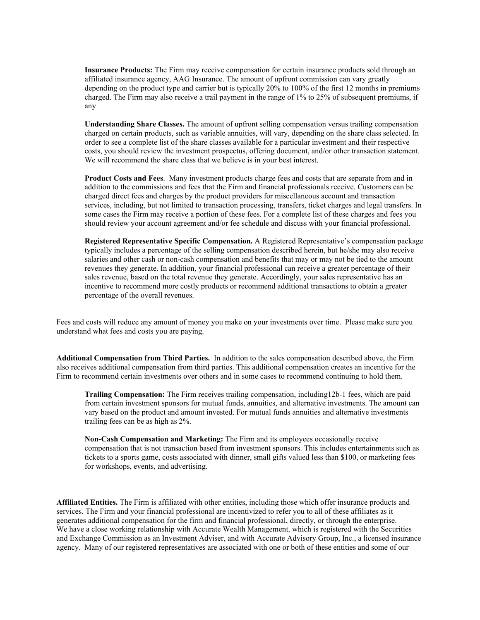**Insurance Products:** The Firm may receive compensation for certain insurance products sold through an affiliated insurance agency, AAG Insurance. The amount of upfront commission can vary greatly depending on the product type and carrier but is typically 20% to 100% of the first 12 months in premiums charged. The Firm may also receive a trail payment in the range of 1% to 25% of subsequent premiums, if any

**Understanding Share Classes.** The amount of upfront selling compensation versus trailing compensation charged on certain products, such as variable annuities, will vary, depending on the share class selected. In order to see a complete list of the share classes available for a particular investment and their respective costs, you should review the investment prospectus, offering document, and/or other transaction statement. We will recommend the share class that we believe is in your best interest.

**Product Costs and Fees**. Many investment products charge fees and costs that are separate from and in addition to the commissions and fees that the Firm and financial professionals receive. Customers can be charged direct fees and charges by the product providers for miscellaneous account and transaction services, including, but not limited to transaction processing, transfers, ticket charges and legal transfers. In some cases the Firm may receive a portion of these fees. For a complete list of these charges and fees you should review your account agreement and/or fee schedule and discuss with your financial professional.

**Registered Representative Specific Compensation.** A Registered Representative's compensation package typically includes a percentage of the selling compensation described herein, but he/she may also receive salaries and other cash or non-cash compensation and benefits that may or may not be tied to the amount revenues they generate. In addition, your financial professional can receive a greater percentage of their sales revenue, based on the total revenue they generate. Accordingly, your sales representative has an incentive to recommend more costly products or recommend additional transactions to obtain a greater percentage of the overall revenues.

Fees and costs will reduce any amount of money you make on your investments over time. Please make sure you understand what fees and costs you are paying.

**Additional Compensation from Third Parties.** In addition to the sales compensation described above, the Firm also receives additional compensation from third parties. This additional compensation creates an incentive for the Firm to recommend certain investments over others and in some cases to recommend continuing to hold them.

**Trailing Compensation:** The Firm receives trailing compensation, including12b-1 fees, which are paid from certain investment sponsors for mutual funds, annuities, and alternative investments. The amount can vary based on the product and amount invested. For mutual funds annuities and alternative investments trailing fees can be as high as 2%.

**Non-Cash Compensation and Marketing:** The Firm and its employees occasionally receive compensation that is not transaction based from investment sponsors. This includes entertainments such as tickets to a sports game, costs associated with dinner, small gifts valued less than \$100, or marketing fees for workshops, events, and advertising.

**Affiliated Entities.** The Firm is affiliated with other entities, including those which offer insurance products and services. The Firm and your financial professional are incentivized to refer you to all of these affiliates as it generates additional compensation for the firm and financial professional, directly, or through the enterprise. We have a close working relationship with Accurate Wealth Management, which is registered with the Securities and Exchange Commission as an Investment Adviser, and with Accurate Advisory Group, Inc., a licensed insurance agency. Many of our registered representatives are associated with one or both of these entities and some of our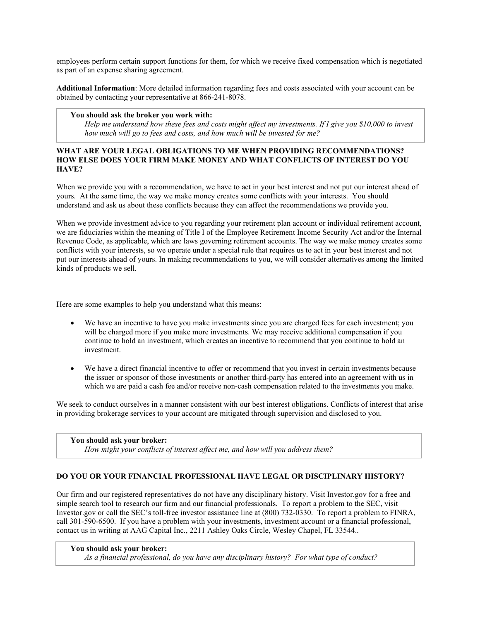employees perform certain support functions for them, for which we receive fixed compensation which is negotiated as part of an expense sharing agreement.

**Additional Information**: More detailed information regarding fees and costs associated with your account can be obtained by contacting your representative at 866-241-8078.

### **You should ask the broker you work with:**

*Help me understand how these fees and costs might affect my investments. If I give you \$10,000 to invest how much will go to fees and costs, and how much will be invested for me?*

## **WHAT ARE YOUR LEGAL OBLIGATIONS TO ME WHEN PROVIDING RECOMMENDATIONS? HOW ELSE DOES YOUR FIRM MAKE MONEY AND WHAT CONFLICTS OF INTEREST DO YOU HAVE?**

When we provide you with a recommendation, we have to act in your best interest and not put our interest ahead of yours. At the same time, the way we make money creates some conflicts with your interests. You should understand and ask us about these conflicts because they can affect the recommendations we provide you.

When we provide investment advice to you regarding your retirement plan account or individual retirement account, we are fiduciaries within the meaning of Title I of the Employee Retirement Income Security Act and/or the Internal Revenue Code, as applicable, which are laws governing retirement accounts. The way we make money creates some conflicts with your interests, so we operate under a special rule that requires us to act in your best interest and not put our interests ahead of yours. In making recommendations to you, we will consider alternatives among the limited kinds of products we sell.

Here are some examples to help you understand what this means:

- We have an incentive to have you make investments since you are charged fees for each investment; you will be charged more if you make more investments. We may receive additional compensation if you continue to hold an investment, which creates an incentive to recommend that you continue to hold an investment.
- We have a direct financial incentive to offer or recommend that you invest in certain investments because the issuer or sponsor of those investments or another third-party has entered into an agreement with us in which we are paid a cash fee and/or receive non-cash compensation related to the investments you make.

We seek to conduct ourselves in a manner consistent with our best interest obligations. Conflicts of interest that arise in providing brokerage services to your account are mitigated through supervision and disclosed to you.

**You should ask your broker:** *How might your conflicts of interest affect me, and how will you address them?*

#### **DO YOU OR YOUR FINANCIAL PROFESSIONAL HAVE LEGAL OR DISCIPLINARY HISTORY?**

Our firm and our registered representatives do not have any disciplinary history. Visit Investor.gov for a free and simple search tool to research our firm and our financial professionals. To report a problem to the SEC, visit Investor.gov or call the SEC's toll-free investor assistance line at (800) 732-0330. To report a problem to FINRA, call 301-590-6500. If you have a problem with your investments, investment account or a financial professional, contact us in writing at AAG Capital Inc., 2211 Ashley Oaks Circle, Wesley Chapel, FL 33544..

#### **You should ask your broker:**

*As a financial professional, do you have any disciplinary history? For what type of conduct?*